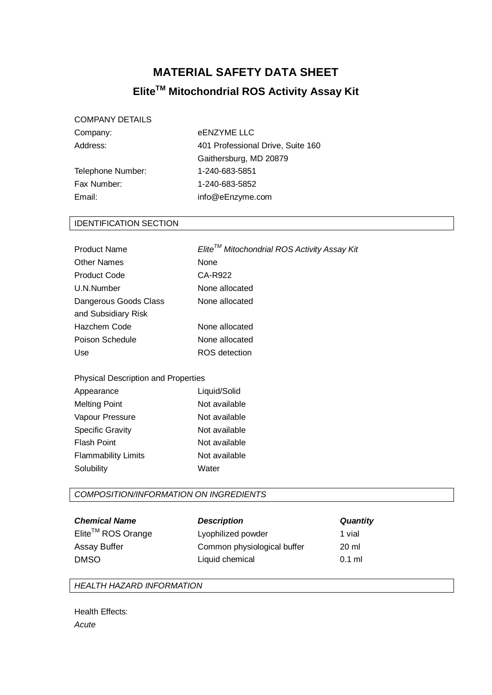# **MATERIAL SAFETY DATA SHEET EliteTM Mitochondrial ROS Activity Assay Kit**

### COMPANY DETAILS

Telephone Number: 1-240-683-5851 Fax Number: 1-240-683-5852 Email: info@eEnzyme.com

Company: eENZYME LLC Address: 401 Professional Drive, Suite 160 Gaithersburg, MD 20879

#### IDENTIFICATION SECTION

| <b>Product Name</b>   | $E$ lite <sup>TM</sup> Mitochondrial ROS Activity Assay Kit |
|-----------------------|-------------------------------------------------------------|
| <b>Other Names</b>    | <b>None</b>                                                 |
| <b>Product Code</b>   | CA-R922                                                     |
| U.N.Number            | None allocated                                              |
| Dangerous Goods Class | None allocated                                              |
| and Subsidiary Risk   |                                                             |
| Hazchem Code          | None allocated                                              |
| Poison Schedule       | None allocated                                              |
| Use                   | ROS detection                                               |
|                       |                                                             |

#### Physical Description and Properties

| Appearance                 | Liquid/Solid  |
|----------------------------|---------------|
| <b>Melting Point</b>       | Not available |
| Vapour Pressure            | Not available |
| <b>Specific Gravity</b>    | Not available |
| <b>Flash Point</b>         | Not available |
| <b>Flammability Limits</b> | Not available |
| Solubility                 | Water         |

#### *COMPOSITION/INFORMATION ON INGREDIENTS*

| <b>Chemical Name</b>          | <b>Description</b>          | <b>Quantity</b> |
|-------------------------------|-----------------------------|-----------------|
| Elite <sup>™</sup> ROS Orange | Lyophilized powder          | 1 vial          |
| <b>Assay Buffer</b>           | Common physiological buffer | 20 ml           |
| <b>DMSO</b>                   | Liquid chemical             | $0.1$ ml        |

#### *HEALTH HAZARD INFORMATION*

Health Effects: *Acute*